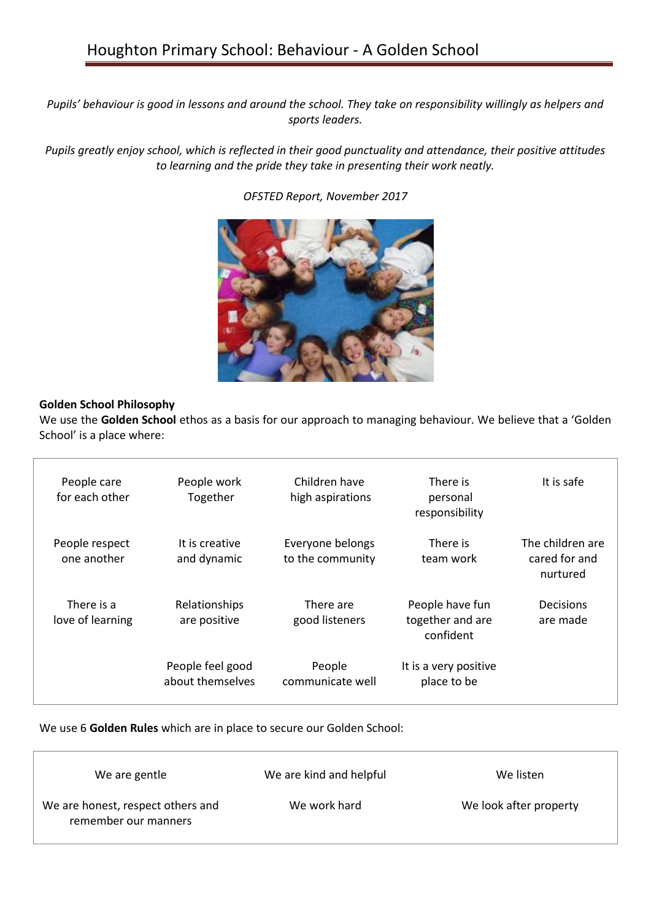*Pupils' behaviour is good in lessons and around the school. They take on responsibility willingly as helpers and sports leaders.* 

*Pupils greatly enjoy school, which is reflected in their good punctuality and attendance, their positive attitudes to learning and the pride they take in presenting their work neatly.* 

*OFSTED Report, November 2017*



## **Golden School Philosophy**

We use the **Golden School** ethos as a basis for our approach to managing behaviour. We believe that a 'Golden School' is a place where:

| People care<br>for each other  | People work<br>Together              | Children have<br>high aspirations    | There is<br>personal<br>responsibility           | It is safe                                    |
|--------------------------------|--------------------------------------|--------------------------------------|--------------------------------------------------|-----------------------------------------------|
| People respect<br>one another  | It is creative<br>and dynamic        | Everyone belongs<br>to the community | There is<br>team work                            | The children are<br>cared for and<br>nurtured |
| There is a<br>love of learning | Relationships<br>are positive        | There are<br>good listeners          | People have fun<br>together and are<br>confident | Decisions<br>are made                         |
|                                | People feel good<br>about themselves | People<br>communicate well           | It is a very positive<br>place to be             |                                               |

We use 6 **Golden Rules** which are in place to secure our Golden School:

| We are gentle                                             | We are kind and helpful | We listen              |
|-----------------------------------------------------------|-------------------------|------------------------|
| We are honest, respect others and<br>remember our manners | We work hard            | We look after property |